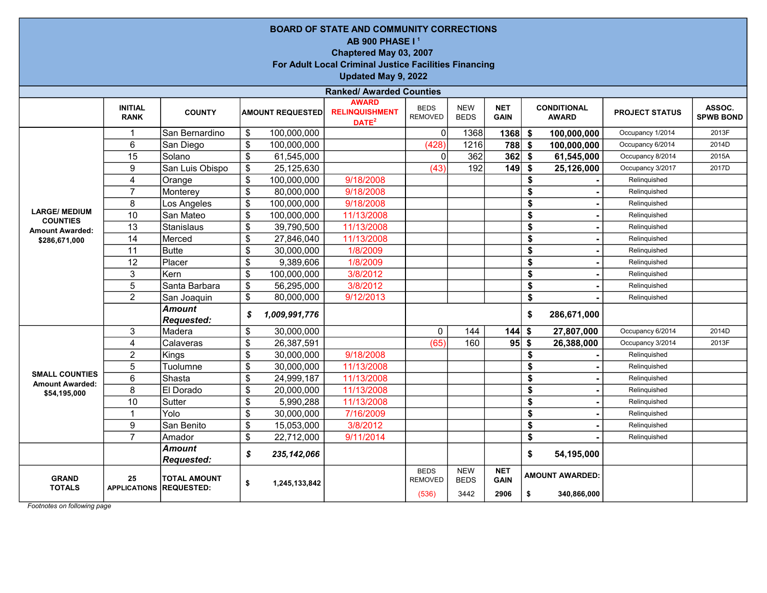|                                                 | <b>BOARD OF STATE AND COMMUNITY CORRECTIONS</b><br>AB 900 PHASE I <sup>1</sup><br>Chaptered May 03, 2007<br>For Adult Local Criminal Justice Facilities Financing<br>Updated May 9, 2022 |                                          |                                         |                                                   |                                        |                                   |                                   |                   |                                       |                       |                            |  |  |  |  |
|-------------------------------------------------|------------------------------------------------------------------------------------------------------------------------------------------------------------------------------------------|------------------------------------------|-----------------------------------------|---------------------------------------------------|----------------------------------------|-----------------------------------|-----------------------------------|-------------------|---------------------------------------|-----------------------|----------------------------|--|--|--|--|
|                                                 |                                                                                                                                                                                          |                                          |                                         | <b>Ranked/ Awarded Counties</b>                   |                                        |                                   |                                   |                   |                                       |                       |                            |  |  |  |  |
|                                                 | <b>INITIAL</b><br><b>RANK</b>                                                                                                                                                            | <b>COUNTY</b>                            | <b>AMOUNT REQUESTED</b>                 | <b>AWARD</b><br><b>RELINQUISHMENT</b><br>$DATA^2$ | <b>BEDS</b><br><b>REMOVED</b>          | <b>NEW</b><br><b>BEDS</b>         | <b>NET</b><br><b>GAIN</b>         |                   | <b>CONDITIONAL</b><br><b>AWARD</b>    | <b>PROJECT STATUS</b> | ASSOC.<br><b>SPWB BOND</b> |  |  |  |  |
|                                                 | $\mathbf{1}$                                                                                                                                                                             | San Bernardino                           | \$<br>100,000,000                       |                                                   | $\mathbf 0$                            | 1368                              | 1368                              | \$                | 100,000,000                           | Occupancy 1/2014      | 2013F                      |  |  |  |  |
|                                                 | 6                                                                                                                                                                                        | San Diego                                | \$<br>100,000,000                       |                                                   | (428)                                  | 1216                              | 788                               | -\$               | 100,000,000                           | Occupancy 6/2014      | 2014D                      |  |  |  |  |
|                                                 | $\overline{15}$                                                                                                                                                                          | Solano                                   | \$<br>61,545,000                        |                                                   | $\mathbf{0}$                           | 362                               | 362                               | \$                | 61,545,000                            | Occupancy 8/2014      | 2015A                      |  |  |  |  |
|                                                 | $\boldsymbol{9}$                                                                                                                                                                         | San Luis Obispo                          | \$<br>25,125,630                        |                                                   | (43)                                   | 192                               | 149                               | \$                | 25,126,000                            | Occupancy 3/2017      | 2017D                      |  |  |  |  |
|                                                 | $\overline{\mathbf{4}}$                                                                                                                                                                  | Orange                                   | \$<br>100,000,000                       | 9/18/2008                                         |                                        |                                   |                                   | \$                |                                       | Relinquished          |                            |  |  |  |  |
|                                                 | $\overline{7}$                                                                                                                                                                           | Monterey                                 | \$<br>80,000,000                        | 9/18/2008                                         |                                        |                                   |                                   | \$                |                                       | Relinquished          |                            |  |  |  |  |
|                                                 | 8                                                                                                                                                                                        | Los Angeles                              | \$<br>100,000,000                       | 9/18/2008                                         |                                        |                                   |                                   | \$                |                                       | Relinquished          |                            |  |  |  |  |
| <b>LARGE/ MEDIUM</b>                            | 10                                                                                                                                                                                       | San Mateo                                | \$<br>100,000,000                       | 11/13/2008                                        |                                        |                                   |                                   | \$                |                                       | Relinquished          |                            |  |  |  |  |
| <b>COUNTIES</b><br><b>Amount Awarded:</b>       | 13                                                                                                                                                                                       | Stanislaus                               | \$<br>39,790,500                        | 11/13/2008                                        |                                        |                                   |                                   | \$                |                                       | Relinquished          |                            |  |  |  |  |
| \$286,671,000                                   | 14                                                                                                                                                                                       | Merced                                   | \$<br>27,846,040                        | 11/13/2008                                        |                                        |                                   |                                   | \$                |                                       | Relinquished          |                            |  |  |  |  |
|                                                 | 11                                                                                                                                                                                       | <b>Butte</b>                             | \$<br>30,000,000                        | 1/8/2009                                          |                                        |                                   |                                   | \$                |                                       | Relinquished          |                            |  |  |  |  |
|                                                 | 12                                                                                                                                                                                       | Placer                                   | \$<br>9,389,606                         | 1/8/2009                                          |                                        |                                   |                                   | \$                | $\blacksquare$                        | Relinquished          |                            |  |  |  |  |
|                                                 | 3                                                                                                                                                                                        | Kern                                     | \$<br>100,000,000                       | 3/8/2012                                          |                                        |                                   |                                   | \$                |                                       | Relinquished          |                            |  |  |  |  |
|                                                 | 5                                                                                                                                                                                        | Santa Barbara                            | \$<br>56,295,000                        | 3/8/2012                                          |                                        |                                   |                                   | \$                |                                       | Relinquished          |                            |  |  |  |  |
|                                                 | $\overline{2}$                                                                                                                                                                           | San Joaquin                              | \$<br>80,000,000                        | 9/12/2013                                         |                                        |                                   |                                   | \$                |                                       | Relinquished          |                            |  |  |  |  |
|                                                 |                                                                                                                                                                                          | Amount<br>Requested:                     | \$<br>1,009,991,776                     |                                                   |                                        |                                   |                                   | \$                | 286,671,000                           |                       |                            |  |  |  |  |
|                                                 | 3                                                                                                                                                                                        | Madera                                   | \$<br>30,000,000                        |                                                   | $\mathbf 0$                            | 144                               | $144$ \$                          |                   | 27,807,000                            | Occupancy 6/2014      | 2014D                      |  |  |  |  |
|                                                 | $\overline{4}$                                                                                                                                                                           | Calaveras                                | \$<br>26,387,591                        |                                                   | (65)                                   | 160                               | 95                                | $\boldsymbol{\$}$ | 26,388,000                            | Occupancy 3/2014      | 2013F                      |  |  |  |  |
|                                                 | $\overline{c}$                                                                                                                                                                           | Kings                                    | \$<br>30,000,000                        | 9/18/2008                                         |                                        |                                   |                                   | \$                |                                       | Relinquished          |                            |  |  |  |  |
|                                                 | 5                                                                                                                                                                                        | Tuolumne                                 | \$<br>30,000,000                        | 11/13/2008                                        |                                        |                                   |                                   | \$                |                                       | Relinquished          |                            |  |  |  |  |
| <b>SMALL COUNTIES</b><br><b>Amount Awarded:</b> | $6\phantom{1}$                                                                                                                                                                           | Shasta                                   | \$<br>24,999,187                        | 11/13/2008                                        |                                        |                                   |                                   | \$                |                                       | Relinquished          |                            |  |  |  |  |
| \$54,195,000                                    | $\overline{8}$                                                                                                                                                                           | El Dorado                                | \$<br>20,000,000                        | 11/13/2008                                        |                                        |                                   |                                   | \$                |                                       | Relinquished          |                            |  |  |  |  |
|                                                 | 10                                                                                                                                                                                       | Sutter                                   | \$<br>5,990,288                         | 11/13/2008                                        |                                        |                                   |                                   | \$                |                                       | Relinquished          |                            |  |  |  |  |
|                                                 | $\mathbf{1}$                                                                                                                                                                             | Yolo                                     | \$<br>30,000,000                        | 7/16/2009                                         |                                        |                                   |                                   | \$                |                                       | Relinquished          |                            |  |  |  |  |
|                                                 | $\boldsymbol{9}$                                                                                                                                                                         | San Benito                               | \$<br>15,053,000                        | 3/8/2012                                          |                                        |                                   |                                   | \$                |                                       | Relinquished          |                            |  |  |  |  |
|                                                 | $\overline{7}$                                                                                                                                                                           | Amador                                   | \$<br>22,712,000                        | 9/11/2014                                         |                                        |                                   |                                   | \$                |                                       | Relinquished          |                            |  |  |  |  |
|                                                 |                                                                                                                                                                                          | Amount<br>Requested:                     | \$<br>\$<br>235, 142, 066<br>54,195,000 |                                                   |                                        |                                   |                                   |                   |                                       |                       |                            |  |  |  |  |
| <b>GRAND</b><br><b>TOTALS</b>                   | 25<br><b>APPLICATIONS</b>                                                                                                                                                                | <b>TOTAL AMOUNT</b><br><b>REQUESTED:</b> | \$<br>1,245,133,842                     |                                                   | <b>BEDS</b><br><b>REMOVED</b><br>(536) | <b>NEW</b><br><b>BEDS</b><br>3442 | <b>NET</b><br><b>GAIN</b><br>2906 | \$                | <b>AMOUNT AWARDED:</b><br>340,866,000 |                       |                            |  |  |  |  |

Footnotes on following page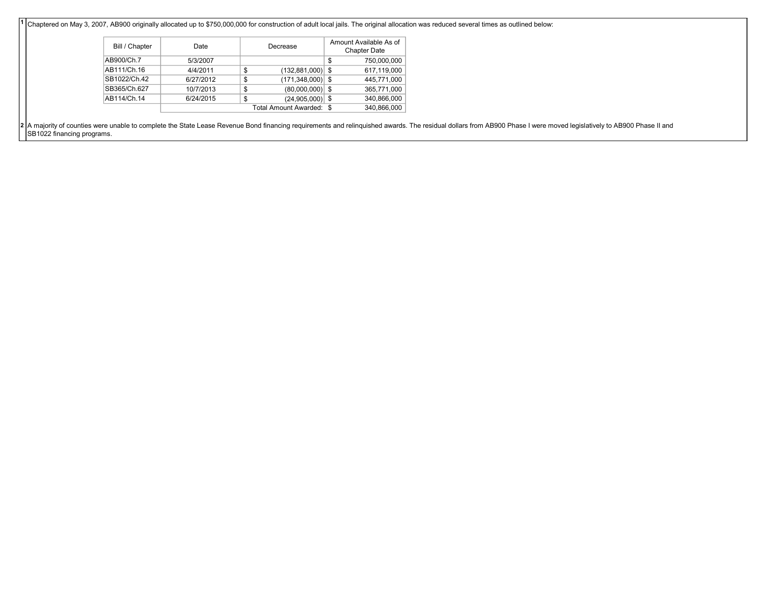$\overline{1}$ Chaptered on May 3, 2007, AB900 originally allocated up to \$750,000,000 for construction of adult local jails. The original allocation was reduced several times as outlined below:

| Bill / Chapter | Date      | Decrease                 | Amount Available As of<br><b>Chapter Date</b> |
|----------------|-----------|--------------------------|-----------------------------------------------|
| AB900/Ch.7     | 5/3/2007  |                          | \$<br>750,000,000                             |
| AB111/Ch.16    | 4/4/2011  | \$<br>$(132,881,000)$ \$ | 617,119,000                                   |
| SB1022/Ch.42   | 6/27/2012 | \$<br>$(171,348,000)$ \$ | 445.771.000                                   |
| SB365/Ch.627   | 10/7/2013 | \$<br>$(80,000,000)$ \$  | 365,771,000                                   |
| AB114/Ch.14    | 6/24/2015 | \$<br>$(24,905,000)$ \$  | 340,866,000                                   |
|                |           | Total Amount Awarded: \$ | 340.866.000                                   |

2 A majority of counties were unable to complete the State Lease Revenue Bond financing requirements and relinquished awards. The residual dollars from AB900 Phase I were moved legislatively to AB900 Phase II and SB1022 financing programs.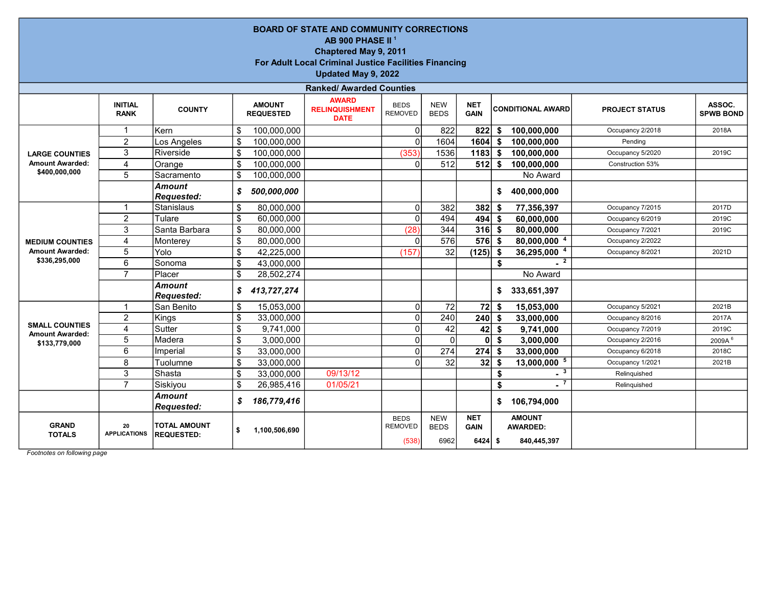|                                                                                                                                                                                                                                                                                                                 | <b>BOARD OF STATE AND COMMUNITY CORRECTIONS</b><br>AB 900 PHASE II <sup>1</sup><br>Chaptered May 9, 2011<br><b>For Adult Local Criminal Justice Facilities Financing</b><br>Updated May 9, 2022 |                                          |                 |               |                                 |                                        |                                   |                                        |     |                                                 |                  |              |  |  |  |
|-----------------------------------------------------------------------------------------------------------------------------------------------------------------------------------------------------------------------------------------------------------------------------------------------------------------|-------------------------------------------------------------------------------------------------------------------------------------------------------------------------------------------------|------------------------------------------|-----------------|---------------|---------------------------------|----------------------------------------|-----------------------------------|----------------------------------------|-----|-------------------------------------------------|------------------|--------------|--|--|--|
|                                                                                                                                                                                                                                                                                                                 |                                                                                                                                                                                                 |                                          |                 |               | <b>Ranked/ Awarded Counties</b> |                                        |                                   |                                        |     |                                                 |                  |              |  |  |  |
| <b>AWARD</b><br><b>INITIAL</b><br><b>AMOUNT</b><br><b>NEW</b><br><b>NET</b><br><b>BEDS</b><br><b>COUNTY</b><br><b>RELINQUISHMENT</b><br><b>CONDITIONAL AWARD</b><br><b>PROJECT STATUS</b><br><b>REMOVED</b><br><b>BEDS</b><br><b>GAIN</b><br><b>RANK</b><br><b>REQUESTED</b><br><b>SPWB BOND</b><br><b>DATE</b> |                                                                                                                                                                                                 |                                          |                 |               |                                 |                                        |                                   |                                        |     |                                                 |                  |              |  |  |  |
|                                                                                                                                                                                                                                                                                                                 |                                                                                                                                                                                                 | İKern                                    | \$              | 100,000,000   |                                 | $\Omega$                               | 822                               | 822                                    | \$  | 100,000,000                                     | Occupancy 2/2018 | 2018A        |  |  |  |
|                                                                                                                                                                                                                                                                                                                 | $\overline{2}$                                                                                                                                                                                  | Los Angeles                              | \$              | 100,000,000   |                                 | $\Omega$                               | 1604                              | 1604                                   | \$  | 100,000,000                                     | Pending          |              |  |  |  |
| <b>LARGE COUNTIES</b>                                                                                                                                                                                                                                                                                           | $\overline{3}$                                                                                                                                                                                  | Riverside                                | $\overline{\$}$ | 100,000,000   |                                 | (353)                                  | 1536                              | $1183$ \$                              |     | 100,000,000                                     | Occupancy 5/2020 | 2019C        |  |  |  |
| <b>Amount Awarded:</b>                                                                                                                                                                                                                                                                                          | 4                                                                                                                                                                                               | Orange                                   | \$              | 100,000,000   |                                 | $\Omega$                               | 512                               | 512                                    | \$  | 100,000,000                                     | Construction 53% |              |  |  |  |
| \$400,000,000                                                                                                                                                                                                                                                                                                   | 5                                                                                                                                                                                               | Sacramento                               | \$              | 100,000,000   |                                 |                                        |                                   |                                        |     | No Award                                        |                  |              |  |  |  |
| <b>Amount</b><br>500,000,000<br>400,000,000<br>S<br>\$<br><b>Requested:</b>                                                                                                                                                                                                                                     |                                                                                                                                                                                                 |                                          |                 |               |                                 |                                        |                                   |                                        |     |                                                 |                  |              |  |  |  |
|                                                                                                                                                                                                                                                                                                                 | -1                                                                                                                                                                                              | Stanislaus                               | \$              | 80,000,000    |                                 | $\Omega$                               | 382                               | 382                                    | Ŝ.  | 77,356,397                                      | Occupancy 7/2015 | 2017D        |  |  |  |
|                                                                                                                                                                                                                                                                                                                 | $\overline{2}$                                                                                                                                                                                  | Tulare                                   | $\overline{\$}$ | 60,000,000    |                                 | $\Omega$                               | 494                               | 494                                    | \$  | 60,000,000                                      | Occupancy 6/2019 | 2019C        |  |  |  |
| <b>MEDIUM COUNTIES</b>                                                                                                                                                                                                                                                                                          | 3                                                                                                                                                                                               | Santa Barbara                            | \$              | 80,000,000    |                                 | (28)                                   | 344                               | 316                                    | \$  | 80,000,000                                      | Occupancy 7/2021 | 2019C        |  |  |  |
|                                                                                                                                                                                                                                                                                                                 | 4                                                                                                                                                                                               | Monterey                                 | \$              | 80,000,000    |                                 | $\Omega$                               | 576                               | 576                                    | -\$ | 80,000,000 4                                    | Occupancy 2/2022 |              |  |  |  |
| <b>Amount Awarded:</b>                                                                                                                                                                                                                                                                                          | 5                                                                                                                                                                                               | Yolo                                     | \$              | 42,225,000    |                                 | (157)                                  | $\overline{32}$                   | $(125)$ \$                             |     | 36,295,000 4                                    | Occupancy 8/2021 | 2021D        |  |  |  |
| \$336,295,000                                                                                                                                                                                                                                                                                                   | 6                                                                                                                                                                                               | Sonoma                                   | \$              | 43,000,000    |                                 |                                        |                                   |                                        | \$  | $-2$                                            |                  |              |  |  |  |
|                                                                                                                                                                                                                                                                                                                 | $\overline{7}$                                                                                                                                                                                  | Placer                                   | \$              | 28,502,274    |                                 |                                        |                                   |                                        |     | No Award                                        |                  |              |  |  |  |
|                                                                                                                                                                                                                                                                                                                 |                                                                                                                                                                                                 | <b>Amount</b><br><b>Requested:</b>       | \$              | 413,727,274   |                                 |                                        |                                   |                                        | \$  | 333,651,397                                     |                  |              |  |  |  |
|                                                                                                                                                                                                                                                                                                                 |                                                                                                                                                                                                 | San Benito                               | \$              | 15,053,000    |                                 | 0                                      | 72                                | 72                                     | \$  | 15,053,000                                      | Occupancy 5/2021 | 2021B        |  |  |  |
|                                                                                                                                                                                                                                                                                                                 | $\overline{2}$                                                                                                                                                                                  | Kings                                    | \$              | 33,000,000    |                                 | Ωl                                     | 240                               | 240                                    | \$  | 33,000,000                                      | Occupancy 8/2016 | 2017A        |  |  |  |
| <b>SMALL COUNTIES</b><br><b>Amount Awarded:</b>                                                                                                                                                                                                                                                                 | 4                                                                                                                                                                                               | Sutter                                   | \$              | 9,741,000     |                                 | Ωl                                     | 42                                | 42                                     | \$  | 9,741,000                                       | Occupancy 7/2019 | 2019C        |  |  |  |
| \$133,779,000                                                                                                                                                                                                                                                                                                   | 5                                                                                                                                                                                               | IMadera                                  | \$              | 3,000,000     |                                 | Ωl                                     | $\mathbf{0}$                      | 0                                      | \$  | 3,000,000                                       | Occupancy 2/2016 | 2009A $^{6}$ |  |  |  |
|                                                                                                                                                                                                                                                                                                                 | 6                                                                                                                                                                                               | Imperial                                 | \$              | 33,000,000    |                                 | $\Omega$                               | 274                               | 274                                    | S   | 33,000,000                                      | Occupancy 6/2018 | 2018C        |  |  |  |
|                                                                                                                                                                                                                                                                                                                 | 8                                                                                                                                                                                               | Tuolumne                                 | \$              | 33,000,000    |                                 | $\Omega$                               | 32                                | 32                                     | -\$ | 13,000,000 5                                    | Occupancy 1/2021 | 2021B        |  |  |  |
|                                                                                                                                                                                                                                                                                                                 | 3                                                                                                                                                                                               | Shasta                                   | \$              | 33,000,000    | 09/13/12                        |                                        |                                   |                                        | \$  | $-3$                                            | Relinquished     |              |  |  |  |
|                                                                                                                                                                                                                                                                                                                 | $\overline{7}$                                                                                                                                                                                  | Siskiyou                                 | \$              | 26,985,416    | 01/05/21                        |                                        |                                   |                                        | \$  | $\overline{\phantom{0}}$                        | Relinquished     |              |  |  |  |
|                                                                                                                                                                                                                                                                                                                 |                                                                                                                                                                                                 | Amount<br><b>Requested:</b>              | \$              | 186,779,416   |                                 |                                        |                                   |                                        | \$  | 106,794,000                                     |                  |              |  |  |  |
| <b>GRAND</b><br><b>TOTALS</b>                                                                                                                                                                                                                                                                                   | 20<br><b>APPLICATIONS</b>                                                                                                                                                                       | <b>TOTAL AMOUNT</b><br><b>REQUESTED:</b> | \$              | 1,100,506,690 |                                 | <b>BEDS</b><br><b>REMOVED</b><br>(538) | <b>NEW</b><br><b>BEDS</b><br>6962 | <b>NET</b><br><b>GAIN</b><br>$6424$ \$ |     | <b>AMOUNT</b><br><b>AWARDED:</b><br>840,445,397 |                  |              |  |  |  |
|                                                                                                                                                                                                                                                                                                                 |                                                                                                                                                                                                 |                                          |                 |               |                                 |                                        |                                   |                                        |     |                                                 |                  |              |  |  |  |

Footnotes on following page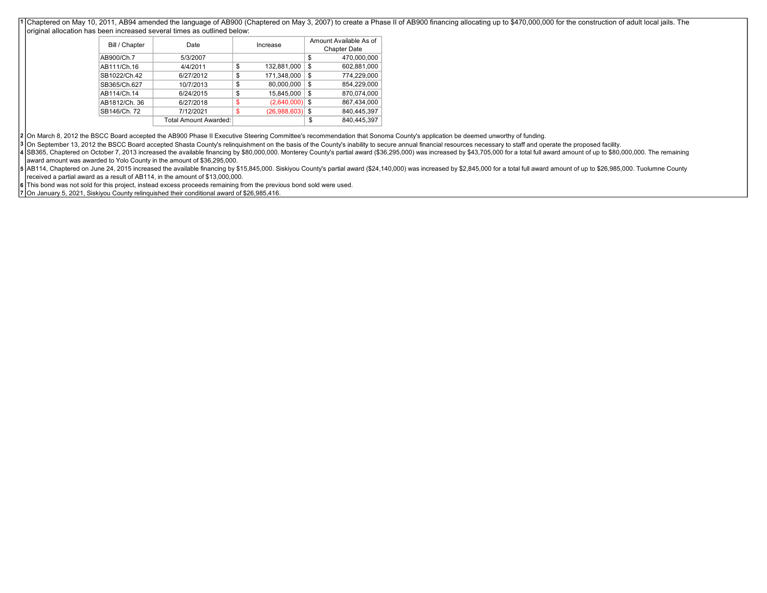1 Chaptered on May 10, 2011, AB94 amended the language of AB900 (Chaptered on May 3, 2007) to create a Phase II of AB900 financing allocating up to \$470,000,000 for the construction of adult local jails. The original allocation has been increased several times as outlined below:

|                |                       |    |              | Amount Available As of |             |  |  |
|----------------|-----------------------|----|--------------|------------------------|-------------|--|--|
| Bill / Chapter | Date                  |    | Increase     | <b>Chapter Date</b>    |             |  |  |
| AB900/Ch.7     | 5/3/2007              |    |              | \$                     | 470.000.000 |  |  |
| AB111/Ch.16    | 4/4/2011              | \$ | 132,881,000  | \$                     | 602,881,000 |  |  |
| SB1022/Ch.42   | 6/27/2012             | \$ | 171,348,000  | \$                     | 774,229,000 |  |  |
| SB365/Ch.627   | 10/7/2013             | \$ | 80,000,000   | \$                     | 854.229.000 |  |  |
| AB114/Ch.14    | 6/24/2015             | \$ | 15,845,000   | \$                     | 870.074.000 |  |  |
| AB1812/Ch. 36  | 6/27/2018             | \$ | (2,640,000)  | \$                     | 867,434,000 |  |  |
| SB146/Ch. 72   | 7/12/2021             | \$ | (26,988,603) | \$                     | 840,445,397 |  |  |
|                | Total Amount Awarded: |    |              | \$                     | 840.445.397 |  |  |

2 On March 8, 2012 the BSCC Board accepted the AB900 Phase II Executive Steering Committee's recommendation that Sonoma County's application be deemed unworthy of funding.

3 On September 13, 2012 the BSCC Board accepted Shasta County's relinquishment on the basis of the County's inability to secure annual financial resources necessary to staff and operate the proposed facility.

4 SB365, Chaptered on October 7, 2013 increased the available financing by \$80,000,000. Monterey County's partial award (\$36,295,000) was increased by \$43,705,000 for a total full award amount of up to \$80,000,000. The rem award amount was awarded to Yolo County in the amount of \$36,295,000.

5 | AB114, Chaptered on June 24, 2015 increased the available financing by \$15,845,000. Siskiyou County's partial award (\$24,140,000) was increased by \$2,845,000 for a total full award amount of up to \$26,985,000. Tuolumne received a partial award as a result of AB114, in the amount of \$13,000,000.

6 This bond was not sold for this project, instead excess proceeds remaining from the previous bond sold were used.

7 On January 5, 2021, Siskiyou County relinquished their conditional award of \$26,985,416.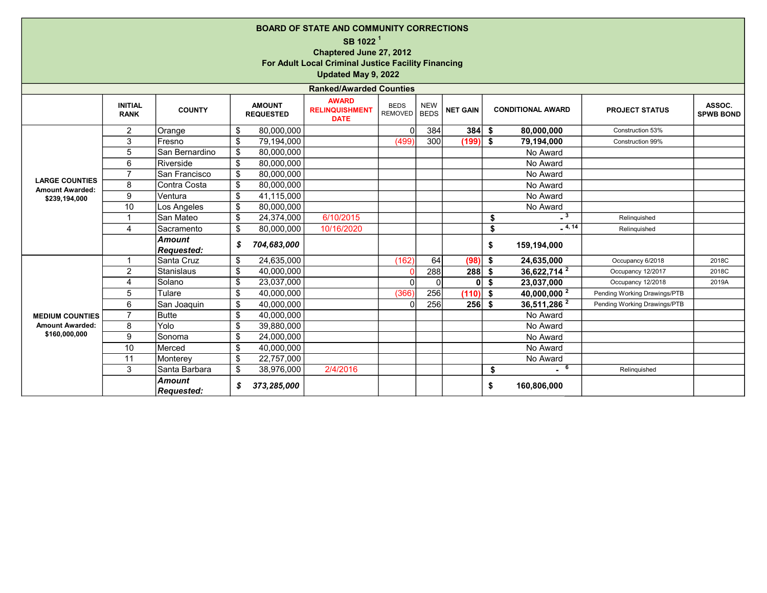|                                                                  |                               |                                    |                         |                                   | <b>BOARD OF STATE AND COMMUNITY CORRECTIONS</b><br>SB 1022 <sup>1</sup><br>Chaptered June 27, 2012<br>For Adult Local Criminal Justice Facility Financing<br>Updated May 9, 2022 |                        |                           |                 |     |                            |                              |                            |
|------------------------------------------------------------------|-------------------------------|------------------------------------|-------------------------|-----------------------------------|----------------------------------------------------------------------------------------------------------------------------------------------------------------------------------|------------------------|---------------------------|-----------------|-----|----------------------------|------------------------------|----------------------------|
|                                                                  |                               |                                    |                         |                                   | <b>Ranked/Awarded Counties</b>                                                                                                                                                   |                        |                           |                 |     |                            |                              |                            |
|                                                                  | <b>INITIAL</b><br><b>RANK</b> | <b>COUNTY</b>                      |                         | <b>AMOUNT</b><br><b>REQUESTED</b> | <b>AWARD</b><br><b>RELINQUISHMENT</b><br><b>DATE</b>                                                                                                                             | <b>BEDS</b><br>REMOVED | <b>NEW</b><br><b>BEDS</b> | <b>NET GAIN</b> |     | <b>CONDITIONAL AWARD</b>   | <b>PROJECT STATUS</b>        | ASSOC.<br><b>SPWB BOND</b> |
|                                                                  | $\overline{c}$                | Orange                             | \$                      | 80,000,000                        |                                                                                                                                                                                  | $\Omega$               | 384                       | 384             | -\$ | 80,000,000                 | Construction 53%             |                            |
|                                                                  | 3                             | <b>Fresno</b>                      | \$                      | 79,194,000                        |                                                                                                                                                                                  | (499)                  | 300                       | (199)           | \$  | 79,194,000                 | Construction 99%             |                            |
|                                                                  | 5                             | San Bernardino                     | \$                      | 80,000,000                        |                                                                                                                                                                                  |                        |                           |                 |     | No Award                   |                              |                            |
|                                                                  | 6                             | Riverside                          | \$                      | 80,000,000                        |                                                                                                                                                                                  |                        |                           |                 |     | No Award                   |                              |                            |
| <b>LARGE COUNTIES</b><br><b>Amount Awarded:</b><br>\$239,194,000 | $\overline{7}$                | San Francisco                      | $\sqrt[6]{\frac{1}{2}}$ | 80,000,000                        |                                                                                                                                                                                  |                        |                           |                 |     | No Award                   |                              |                            |
|                                                                  | 8                             | Contra Costa                       | \$                      | 80,000,000                        |                                                                                                                                                                                  |                        |                           |                 |     | No Award                   |                              |                            |
|                                                                  | 9                             | Ventura                            | $\sqrt[6]{\frac{1}{2}}$ | 41,115,000                        |                                                                                                                                                                                  |                        |                           |                 |     | No Award                   |                              |                            |
|                                                                  | 10                            | Los Angeles                        | \$                      | 80,000,000                        |                                                                                                                                                                                  |                        |                           |                 |     | No Award                   |                              |                            |
|                                                                  | 1                             | San Mateo                          | \$                      | 24,374,000                        | 6/10/2015                                                                                                                                                                        |                        |                           |                 | \$  | $\overline{\phantom{0}}^3$ | Relinquished                 |                            |
|                                                                  | 4                             | Sacramento                         | \$                      | 80,000,000                        | 10/16/2020                                                                                                                                                                       |                        |                           |                 | \$  | $-4, 14$                   | Relinquished                 |                            |
|                                                                  |                               | <b>Amount</b><br><b>Requested:</b> | \$                      | 704,683,000                       |                                                                                                                                                                                  |                        |                           |                 | \$  | 159,194,000                |                              |                            |
|                                                                  | 1                             | Santa Cruz                         | \$                      | 24,635,000                        |                                                                                                                                                                                  | (162)                  | 64                        | (98)            | \$  | 24,635,000                 | Occupancy 6/2018             | 2018C                      |
|                                                                  | 2                             | <b>Stanislaus</b>                  | \$                      | 40,000,000                        |                                                                                                                                                                                  | $\Omega$               | 288                       | 288             | -\$ | 36,622,714 <sup>2</sup>    | Occupancy 12/2017            | 2018C                      |
|                                                                  | 4                             | Solano                             | \$                      | 23,037,000                        |                                                                                                                                                                                  | $\Omega$               | $\Omega$                  | $\mathbf{0}$    | \$  | 23,037,000                 | Occupancy 12/2018            | 2019A                      |
|                                                                  | 5                             | Tulare                             | $\overline{\mathbf{s}}$ | 40,000,000                        |                                                                                                                                                                                  | (366)                  | 256                       | (110)           | \$  | 40,000,000 <sup>2</sup>    | Pending Working Drawings/PTB |                            |
|                                                                  | 6                             | San Joaquin                        | \$                      | 40,000,000                        |                                                                                                                                                                                  | $\Omega$               | 256                       | $256$ \$        |     | 36,511,286 $2$             | Pending Working Drawings/PTB |                            |
| <b>MEDIUM COUNTIES</b>                                           | $\overline{7}$                | Butte                              | \$                      | 40,000,000                        |                                                                                                                                                                                  |                        |                           |                 |     | No Award                   |                              |                            |
| <b>Amount Awarded:</b>                                           | 8                             | Yolo                               | $\sqrt[6]{\frac{1}{2}}$ | 39,880,000                        |                                                                                                                                                                                  |                        |                           |                 |     | No Award                   |                              |                            |
| \$160,000,000                                                    | 9                             | Sonoma                             | \$                      | 24,000,000                        |                                                                                                                                                                                  |                        |                           |                 |     | No Award                   |                              |                            |
|                                                                  | 10                            | Merced                             | $\mathfrak{S}$          | 40.000.000                        |                                                                                                                                                                                  |                        |                           |                 |     | No Award                   |                              |                            |
|                                                                  | 11                            | Monterey                           | \$                      | 22,757,000                        |                                                                                                                                                                                  |                        |                           |                 |     | No Award                   |                              |                            |
|                                                                  | 3                             | Santa Barbara                      | \$                      | 38,976,000                        | 2/4/2016                                                                                                                                                                         |                        |                           |                 | \$  | $-$ 6                      | Relinquished                 |                            |
|                                                                  |                               | <b>Amount</b><br>Reauested:        | \$                      | 373,285,000                       |                                                                                                                                                                                  |                        |                           |                 | \$  | 160,806,000                |                              |                            |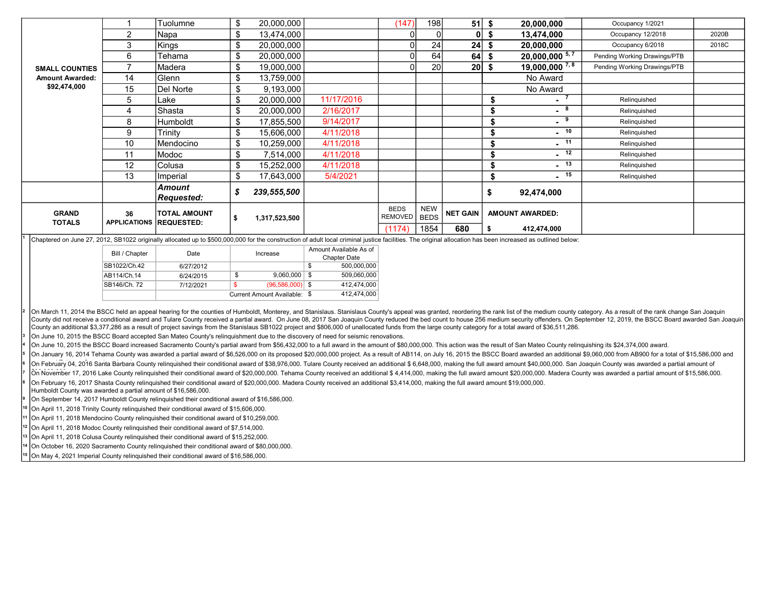|                               |                           | Tuolumne                                 | \$<br>20,000,000  |            | (147)                         | 198                       | 51              | - \$ | 20,000,000             | Occupancy 1/2021             |       |
|-------------------------------|---------------------------|------------------------------------------|-------------------|------------|-------------------------------|---------------------------|-----------------|------|------------------------|------------------------------|-------|
|                               | $\overline{2}$            | Napa                                     | \$<br>13,474,000  |            |                               |                           | $\mathbf{0}$    | \$   | 13,474,000             | Occupancy 12/2018            | 2020B |
|                               | 3                         | Kings                                    | \$<br>20,000,000  |            |                               | 24                        | 24              | ъ,   | 20,000,000             | Occupancy 6/2018             | 2018C |
|                               | 6                         | Tehama                                   | \$<br>20,000,000  |            |                               | 64                        | 64              | P    | $20,000,000^{-5,7}$    | Pending Working Drawings/PTB |       |
| <b>SMALL COUNTIES</b>         |                           | Madera                                   | \$<br>19,000,000  |            |                               | 20                        | 20 <sub>l</sub> | S    | $19,000,000^{7,8}$     | Pending Working Drawings/PTB |       |
| <b>Amount Awarded:</b>        | 14                        | Glenn                                    | \$<br>13,759,000  |            |                               |                           |                 |      | No Award               |                              |       |
| \$92,474,000                  | 15                        | Del Norte                                | \$<br>9,193,000   |            |                               |                           |                 |      | No Award               |                              |       |
|                               | :5                        | Lake                                     | \$<br>20,000,000  | 11/17/2016 |                               |                           |                 |      | $\sim$                 | Relinquished                 |       |
|                               | 4                         | Shasta                                   | \$<br>20,000,000  | 2/16/2017  |                               |                           |                 |      | 8                      | Relinquished                 |       |
|                               | 8                         | <b>Humboldt</b>                          | \$<br>17,855,500  | 9/14/2017  |                               |                           |                 |      | 9<br>$\sim$            | Relinquished                 |       |
|                               | 9                         | Trinity                                  | \$<br>15,606,000  | 4/11/2018  |                               |                           |                 |      | $-10$                  | Relinquished                 |       |
|                               | 10                        | Mendocino                                | \$<br>10,259,000  | 4/11/2018  |                               |                           |                 |      | $-11$                  | Relinquished                 |       |
|                               | 11                        | Modoc                                    | \$<br>7,514,000   | 4/11/2018  |                               |                           |                 |      | $-12$                  | Relinquished                 |       |
|                               | 12                        | Colusa                                   | \$<br>15,252,000  | 4/11/2018  |                               |                           |                 |      | $-13$                  | Relinquished                 |       |
|                               | 13                        | Imperial                                 | \$<br>17,643,000  | 5/4/2021   |                               |                           |                 |      | $-15$                  | Relinquished                 |       |
|                               |                           | Amount<br><b>Requested:</b>              | \$<br>239,555,500 |            |                               |                           |                 | \$   | 92,474,000             |                              |       |
| <b>GRAND</b><br><b>TOTALS</b> | 36<br><b>APPLICATIONS</b> | <b>TOTAL AMOUNT</b><br><b>REQUESTED:</b> | 1,317,523,500     |            | <b>BEDS</b><br><b>REMOVED</b> | <b>NEW</b><br><b>BEDS</b> | <b>NET GAIN</b> |      | <b>AMOUNT AWARDED:</b> |                              |       |
|                               |                           |                                          |                   |            | (1174)                        | 1854                      | 680             |      | 412,474,000            |                              |       |

<sup>1</sup> Chaptered on June 27, 2012, SB1022 originally allocated up to \$500,000,000 for the construction of adult local criminal justice facilities. The original allocation has been increased as outlined below:

| Bill / Chapter | Date      | Increase                     |             | Amount Available As of<br><b>Chapter Date</b> |
|----------------|-----------|------------------------------|-------------|-----------------------------------------------|
| SB1022/Ch.42   | 6/27/2012 |                              | Φ           | 500,000,000                                   |
| AB114/Ch.14    | 6/24/2015 | \$<br>9.060.000              | \$.         | 509,060,000                                   |
| SB146/Ch. 72   | 7/12/2021 | $(96,586,000)$ \$            |             | 412.474.000                                   |
|                |           | Current Amount Available: \$ | 412.474.000 |                                               |

On March 11, 2014 the BSCC held an appeal hearing for the counties of Humboldt, Monterey, and Stanislaus. Stanislaus County's appeal was granted, reordering the rank list of the medium county category. As a result of the r County did not receive a conditional award and Tulare County received a partial award. On June 08, 2017 San Joaquin County reduced the bed count to house 256 medium security offenders. On September 12, 2019, the BSCC Board County an additional \$3,377,286 as a result of project savings from the Stanislaus SB1022 project and \$806,000 of unallocated funds from the large county category for a total award of \$36,511,286.

On June 10, 2015 the BSCC Board accepted San Mateo County's relinquishment due to the discovery of need for seismic renovations.

On June 10, 2015 the BSCC Board increased Sacramento County's partial award from \$56,432,000 to a full award in the amount of \$80,000,000. This action was the result of San Mateo County relinquishing its \$24,374,000 award.

On January 16, 2014 Tehama County was awarded a partial award of \$6,526,000 on its proposed \$20,000,000 project. As a result of AB114, on July 16, 2015 the BSCC Board awarded an additional \$9,060,000 from AB900 for a total

6 On February 04, 2016 Santa Barbara County relinquished their conditional award of \$38,976,000. Tulare County received an additional \$ 6,648,000, making the full award amount \$40,000,000. San Joaquin County was awarded a pa

7 8 On November 17, 2016 Lake County relinguished their conditional award of \$20,000,000. Tehama County received an additional \$ 4.414,000, making the full award amount \$20,000,000. Madera County was awarded a partial amount o On February 16, 2017 Shasta County relinquished their conditional award of \$20,000,000. Madera County received an additional \$3,414,000, making the full award amount \$19,000,000.

Humboldt County was awarded a partial amount of \$16,586,000.

3 4 5

2

9 On September 14, 2017 Humboldt County relinquished their conditional award of \$16,586,000.

10 On April 11, 2018 Trinity County relinquished their conditional award of \$15,606,000.

11 On April 11, 2018 Mendocino County relinquished their conditional award of \$10,259,000.

12 On April 11, 2018 Modoc County relinquished their conditional award of \$7,514,000.

13 On April 11, 2018 Colusa County relinquished their conditional award of \$15,252,000.

14 On October 16, 2020 Sacramento County relinquished their conditional award of \$80,000,000.

15 On May 4, 2021 Imperial County relinquished their conditional award of \$16,586,000.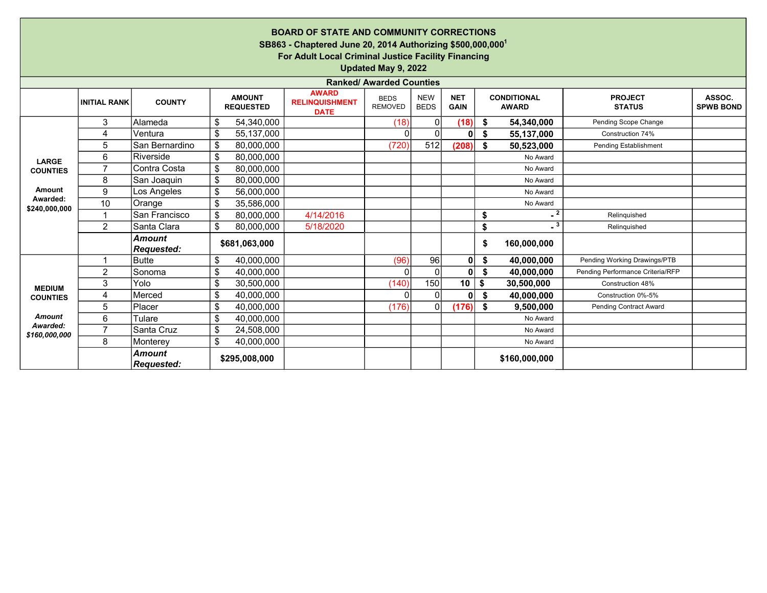|                           |                                                                                                                                                                                                                                                                                                                                     |                                    |    |               | <b>BOARD OF STATE AND COMMUNITY CORRECTIONS</b><br>SB863 - Chaptered June 20, 2014 Authorizing \$500,000,000 <sup>1</sup><br>For Adult Local Criminal Justice Facility Financing | Updated May 9, 2022             |          |              |    |               |                                  |  |  |
|---------------------------|-------------------------------------------------------------------------------------------------------------------------------------------------------------------------------------------------------------------------------------------------------------------------------------------------------------------------------------|------------------------------------|----|---------------|----------------------------------------------------------------------------------------------------------------------------------------------------------------------------------|---------------------------------|----------|--------------|----|---------------|----------------------------------|--|--|
|                           |                                                                                                                                                                                                                                                                                                                                     |                                    |    |               |                                                                                                                                                                                  | <b>Ranked/ Awarded Counties</b> |          |              |    |               |                                  |  |  |
|                           | <b>AWARD</b><br>ASSOC.<br><b>AMOUNT</b><br><b>NET</b><br><b>CONDITIONAL</b><br><b>PROJECT</b><br><b>NEW</b><br><b>BEDS</b><br><b>COUNTY</b><br><b>INITIAL RANK</b><br><b>RELINQUISHMENT</b><br><b>REMOVED</b><br><b>BEDS</b><br><b>SPWB BOND</b><br><b>REQUESTED</b><br><b>GAIN</b><br><b>AWARD</b><br><b>STATUS</b><br><b>DATE</b> |                                    |    |               |                                                                                                                                                                                  |                                 |          |              |    |               |                                  |  |  |
|                           | 3                                                                                                                                                                                                                                                                                                                                   | Alameda                            | \$ | 54,340,000    |                                                                                                                                                                                  | (18)                            | 0        | (18)         | \$ | 54,340,000    | Pending Scope Change             |  |  |
|                           | 4                                                                                                                                                                                                                                                                                                                                   | Ventura                            | \$ | 55,137,000    |                                                                                                                                                                                  | 0                               | $\Omega$ | $\mathbf{0}$ | \$ | 55,137,000    | Construction 74%                 |  |  |
|                           | 5                                                                                                                                                                                                                                                                                                                                   | San Bernardino                     | \$ | 80,000,000    |                                                                                                                                                                                  | (720)                           | 512      | (208)        | \$ | 50,523,000    | Pending Establishment            |  |  |
| LARGE                     | 6                                                                                                                                                                                                                                                                                                                                   | Riverside                          | \$ | 80,000,000    |                                                                                                                                                                                  |                                 |          |              |    | No Award      |                                  |  |  |
| <b>COUNTIES</b>           | $\overline{7}$                                                                                                                                                                                                                                                                                                                      | Contra Costa                       | \$ | 80,000,000    |                                                                                                                                                                                  |                                 |          |              |    | No Award      |                                  |  |  |
|                           | 8                                                                                                                                                                                                                                                                                                                                   | San Joaquin                        | \$ | 80,000,000    |                                                                                                                                                                                  |                                 |          |              |    | No Award      |                                  |  |  |
| <b>Amount</b>             | 9                                                                                                                                                                                                                                                                                                                                   | Los Angeles                        | \$ | 56,000,000    |                                                                                                                                                                                  |                                 |          |              |    | No Award      |                                  |  |  |
| Awarded:<br>\$240,000,000 | 10                                                                                                                                                                                                                                                                                                                                  | Orange                             | \$ | 35,586,000    |                                                                                                                                                                                  |                                 |          |              |    | No Award      |                                  |  |  |
|                           |                                                                                                                                                                                                                                                                                                                                     | San Francisco                      | \$ | 80,000,000    | 4/14/2016                                                                                                                                                                        |                                 |          |              | \$ | $-2$          | Relinquished                     |  |  |
|                           | $\overline{2}$                                                                                                                                                                                                                                                                                                                      | Santa Clara                        | \$ | 80,000,000    | 5/18/2020                                                                                                                                                                        |                                 |          |              | \$ | $\sqrt{3}$    | Relinquished                     |  |  |
|                           |                                                                                                                                                                                                                                                                                                                                     | <b>Amount</b><br><b>Requested:</b> |    | \$681,063,000 |                                                                                                                                                                                  |                                 |          |              | \$ | 160,000,000   |                                  |  |  |
|                           | 1                                                                                                                                                                                                                                                                                                                                   | <b>Butte</b>                       | \$ | 40,000,000    |                                                                                                                                                                                  | (96)                            | 96       | $\mathbf{0}$ | \$ | 40,000,000    | Pending Working Drawings/PTB     |  |  |
|                           | 2                                                                                                                                                                                                                                                                                                                                   | Sonoma                             | \$ | 40,000,000    |                                                                                                                                                                                  | $\Omega$                        | $\Omega$ | $\mathbf{0}$ | \$ | 40,000,000    | Pending Performance Criteria/RFP |  |  |
| <b>MEDIUM</b>             | 3                                                                                                                                                                                                                                                                                                                                   | Yolo                               | \$ | 30,500,000    |                                                                                                                                                                                  | (140)                           | 150      | 10           | \$ | 30,500,000    | Construction 48%                 |  |  |
| <b>COUNTIES</b>           | 4                                                                                                                                                                                                                                                                                                                                   | Merced                             | \$ | 40,000,000    |                                                                                                                                                                                  | 0                               | $\Omega$ | $\mathbf{0}$ | \$ | 40,000,000    | Construction 0%-5%               |  |  |
|                           | 5                                                                                                                                                                                                                                                                                                                                   | Placer                             | \$ | 40,000,000    |                                                                                                                                                                                  | (176)                           | $\Omega$ | (176)        | \$ | 9,500,000     | <b>Pending Contract Award</b>    |  |  |
| <b>Amount</b>             | 6                                                                                                                                                                                                                                                                                                                                   | Tulare                             | \$ | 40,000,000    |                                                                                                                                                                                  |                                 |          |              |    | No Award      |                                  |  |  |
| Awarded:<br>\$160,000,000 | $\overline{7}$                                                                                                                                                                                                                                                                                                                      | Santa Cruz                         | \$ | 24,508,000    |                                                                                                                                                                                  |                                 |          |              |    | No Award      |                                  |  |  |
|                           | 8                                                                                                                                                                                                                                                                                                                                   | Monterey                           | \$ | 40,000,000    |                                                                                                                                                                                  |                                 |          |              |    | No Award      |                                  |  |  |
|                           |                                                                                                                                                                                                                                                                                                                                     | <b>Amount</b><br><b>Requested:</b> |    | \$295,008,000 |                                                                                                                                                                                  |                                 |          |              |    | \$160,000,000 |                                  |  |  |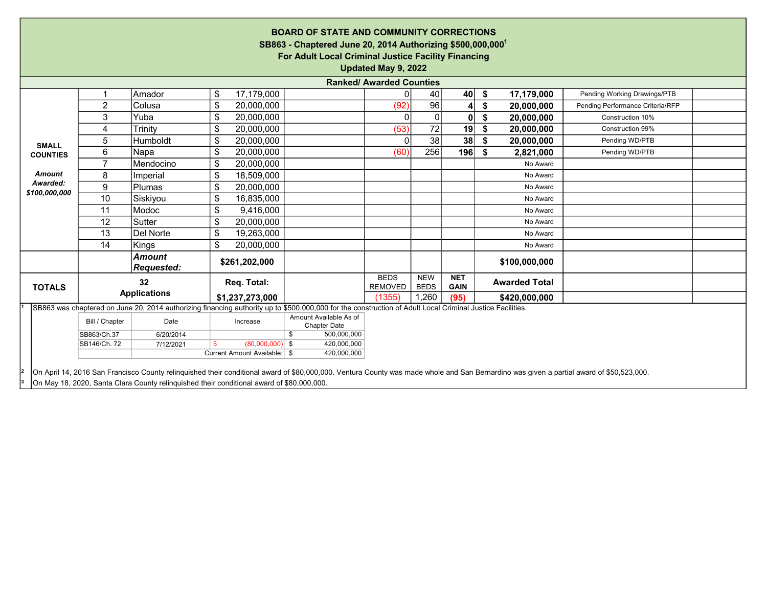| <b>BOARD OF STATE AND COMMUNITY CORRECTIONS</b><br>SB863 - Chaptered June 20, 2014 Authorizing \$500,000,000 <sup>1</sup><br>For Adult Local Criminal Justice Facility Financing<br>Updated May 9, 2022 |                                                                                                                                                                                                                                                                                       |                                                                                                                                                           |                                                               |                                               |                                 |                           |                           |                      |                                  |  |  |
|---------------------------------------------------------------------------------------------------------------------------------------------------------------------------------------------------------|---------------------------------------------------------------------------------------------------------------------------------------------------------------------------------------------------------------------------------------------------------------------------------------|-----------------------------------------------------------------------------------------------------------------------------------------------------------|---------------------------------------------------------------|-----------------------------------------------|---------------------------------|---------------------------|---------------------------|----------------------|----------------------------------|--|--|
|                                                                                                                                                                                                         |                                                                                                                                                                                                                                                                                       |                                                                                                                                                           |                                                               |                                               | <b>Ranked/ Awarded Counties</b> |                           |                           |                      |                                  |  |  |
|                                                                                                                                                                                                         |                                                                                                                                                                                                                                                                                       | Amador                                                                                                                                                    | 17,179,000<br>\$                                              |                                               |                                 | 40                        | 40                        | 17,179,000<br>\$     | Pending Working Drawings/PTB     |  |  |
|                                                                                                                                                                                                         | $\overline{2}$                                                                                                                                                                                                                                                                        | Colusa                                                                                                                                                    | \$<br>20,000,000                                              |                                               | (92)                            | 96                        | $\overline{4}$            | \$<br>20,000,000     | Pending Performance Criteria/RFP |  |  |
|                                                                                                                                                                                                         | 3                                                                                                                                                                                                                                                                                     | Yuba                                                                                                                                                      | \$<br>20,000,000                                              |                                               | $\Omega$                        |                           | $\mathbf{0}$              | 20,000,000<br>\$     | Construction 10%                 |  |  |
|                                                                                                                                                                                                         | 4                                                                                                                                                                                                                                                                                     | Trinity                                                                                                                                                   | \$<br>20,000,000                                              |                                               | (53)                            | 72                        | 19                        | \$<br>20,000,000     | Construction 99%                 |  |  |
| <b>SMALL</b>                                                                                                                                                                                            | 5                                                                                                                                                                                                                                                                                     | Humboldt                                                                                                                                                  | \$<br>20,000,000                                              |                                               | $\Omega$                        | 38                        | 38 <sup>1</sup>           | \$<br>20,000,000     | Pending WD/PTB                   |  |  |
| <b>COUNTIES</b>                                                                                                                                                                                         | 6                                                                                                                                                                                                                                                                                     | Napa                                                                                                                                                      | \$<br>20,000,000                                              |                                               | (60)                            | 256                       | 196                       | 2,821,000<br>- \$    | Pending WD/PTB                   |  |  |
|                                                                                                                                                                                                         | $\overline{7}$                                                                                                                                                                                                                                                                        | Mendocino                                                                                                                                                 | \$<br>20,000,000                                              |                                               |                                 |                           |                           | No Award             |                                  |  |  |
| <b>Amount</b>                                                                                                                                                                                           | 8                                                                                                                                                                                                                                                                                     | Imperial                                                                                                                                                  | \$<br>18,509,000                                              |                                               |                                 |                           |                           | No Award             |                                  |  |  |
| Awarded:<br>\$100,000,000                                                                                                                                                                               | 9                                                                                                                                                                                                                                                                                     | Plumas                                                                                                                                                    | \$<br>20,000,000                                              |                                               |                                 |                           |                           | No Award             |                                  |  |  |
|                                                                                                                                                                                                         | 10                                                                                                                                                                                                                                                                                    | Siskiyou                                                                                                                                                  | \$<br>16,835,000                                              |                                               |                                 |                           |                           | No Award             |                                  |  |  |
|                                                                                                                                                                                                         | 11                                                                                                                                                                                                                                                                                    | Modoc                                                                                                                                                     | \$<br>9,416,000                                               |                                               |                                 |                           |                           | No Award             |                                  |  |  |
|                                                                                                                                                                                                         | 12                                                                                                                                                                                                                                                                                    | Sutter                                                                                                                                                    | \$<br>20,000,000                                              |                                               |                                 |                           |                           | No Award             |                                  |  |  |
|                                                                                                                                                                                                         | 13                                                                                                                                                                                                                                                                                    | Del Norte                                                                                                                                                 | \$<br>19,263,000                                              |                                               |                                 |                           |                           | No Award             |                                  |  |  |
|                                                                                                                                                                                                         | 14                                                                                                                                                                                                                                                                                    | Kings                                                                                                                                                     | \$<br>20,000,000                                              |                                               |                                 |                           |                           | No Award             |                                  |  |  |
|                                                                                                                                                                                                         |                                                                                                                                                                                                                                                                                       | <b>Amount</b><br><b>Requested:</b>                                                                                                                        | \$261,202,000                                                 |                                               |                                 |                           |                           | \$100,000,000        |                                  |  |  |
| <b>TOTALS</b>                                                                                                                                                                                           |                                                                                                                                                                                                                                                                                       | 32                                                                                                                                                        | Req. Total:                                                   |                                               | <b>BEDS</b><br><b>REMOVED</b>   | <b>NEW</b><br><b>BEDS</b> | <b>NET</b><br><b>GAIN</b> | <b>Awarded Total</b> |                                  |  |  |
|                                                                                                                                                                                                         |                                                                                                                                                                                                                                                                                       | <b>Applications</b>                                                                                                                                       | \$1,237,273,000                                               |                                               | (1355)                          | 1,260                     | (95)                      | \$420,000,000        |                                  |  |  |
|                                                                                                                                                                                                         |                                                                                                                                                                                                                                                                                       | SB863 was chaptered on June 20, 2014 authorizing financing authority up to \$500,000,000 for the construction of Adult Local Criminal Justice Facilities. |                                                               |                                               |                                 |                           |                           |                      |                                  |  |  |
|                                                                                                                                                                                                         | Bill / Chapter                                                                                                                                                                                                                                                                        | Date                                                                                                                                                      | Increase                                                      | Amount Available As of<br><b>Chapter Date</b> |                                 |                           |                           |                      |                                  |  |  |
|                                                                                                                                                                                                         | SB863/Ch.37                                                                                                                                                                                                                                                                           | 6/20/2014                                                                                                                                                 |                                                               | \$<br>500,000,000                             |                                 |                           |                           |                      |                                  |  |  |
|                                                                                                                                                                                                         | SB146/Ch. 72                                                                                                                                                                                                                                                                          | 7/12/2021                                                                                                                                                 | $(80,000,000)$ \$<br><b>S</b><br>Current Amount Available: \$ | 420,000,000<br>420,000,000                    |                                 |                           |                           |                      |                                  |  |  |
|                                                                                                                                                                                                         |                                                                                                                                                                                                                                                                                       |                                                                                                                                                           |                                                               |                                               |                                 |                           |                           |                      |                                  |  |  |
|                                                                                                                                                                                                         | On April 14, 2016 San Francisco County relinquished their conditional award of \$80,000,000. Ventura County was made whole and San Bernardino was given a partial award of \$50,523,000.<br>On May 18, 2020, Santa Clara County relinguished their conditional award of \$80,000,000. |                                                                                                                                                           |                                                               |                                               |                                 |                           |                           |                      |                                  |  |  |